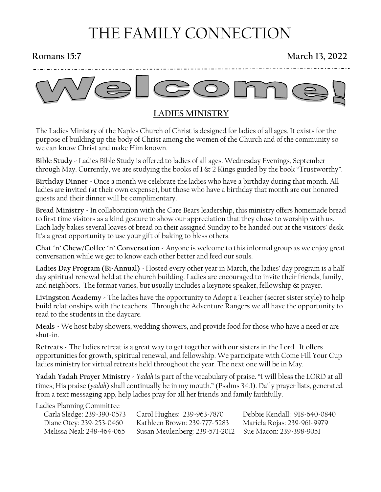# THE FAMILY CONNECTION

## **Romans 15:7** March 13, 2022



## **LADIES MINISTRY**

The Ladies Ministry of the Naples Church of Christ is designed for ladies of all ages. It exists for the purpose of building up the body of Christ among the women of the Church and of the community so we can know Christ and make Him known.

**Bible Study -** Ladies Bible Study is offered to ladies of all ages. Wednesday Evenings, September through May. Currently, we are studying the books of 1 & 2 Kings guided by the book "Trustworthy".

**Birthday Dinner -** Once a month we celebrate the ladies who have a birthday during that month. All ladies are invited (at their own expense), but those who have a birthday that month are our honored guests and their dinner will be complimentary.

**Bread Ministry -** In collaboration with the Care Bears leadership, this ministry offers homemade bread to first time visitors as a kind gesture to show our appreciation that they chose to worship with us. Each lady bakes several loaves of bread on their assigned Sunday to be handed out at the visitors' desk. It's a great opportunity to use your gift of baking to bless others.

**Chat 'n' Chew/Coffee 'n' Conversation -** Anyone is welcome to this informal group as we enjoy great conversation while we get to know each other better and feed our souls.

**Ladies Day Program (Bi-Annual)** - Hosted every other year in March, the ladies' day program is a half day spiritual renewal held at the church building. Ladies are encouraged to invite their friends, family, and neighbors. The format varies, but usually includes a keynote speaker, fellowship & prayer.

**Livingston Academy -** The ladies have the opportunity to Adopt a Teacher (secret sister style) to help build relationships with the teachers. Through the Adventure Rangers we all have the opportunity to read to the students in the daycare.

**Meals -** We host baby showers, wedding showers, and provide food for those who have a need or are shut-in.

**Retreats -** The ladies retreat is a great way to get together with our sisters in the Lord. It offers opportunities for growth, spiritual renewal, and fellowship. We participate with Come Fill Your Cup ladies ministry for virtual retreats held throughout the year. The next one will be in May.

**Yadah Yadah Prayer Ministry -** *Yadah* is part of the vocabulary of praise. "I will bless the LORD at all times; His praise (*yadah*) shall continually be in my mouth." (Psalms 34:1). Daily prayer lists, generated from a text messaging app, help ladies pray for all her friends and family faithfully.

#### Ladies Planning Committee

| Carla Sledge: 239-390-0573 | Carol Hughes: 239-963-7870                             | Debbie Kendall: 918-640-0840 |
|----------------------------|--------------------------------------------------------|------------------------------|
| Diane Otey: 239-253-0460   | Kathleen Brown: 239-777-5283                           | Mariela Rojas: 239-961-9979  |
| Melissa Neal: 248-464-065  | Susan Meulenberg: 239-571-2012 Sue Macon: 239-398-9051 |                              |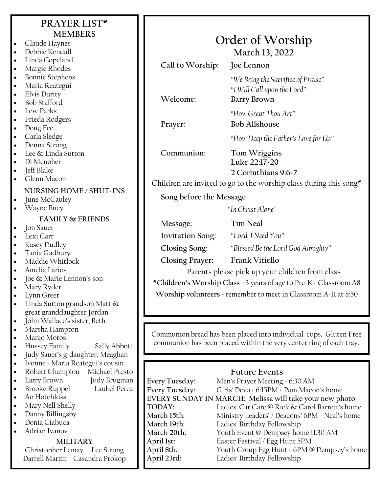| <b>PRAYER LIST*</b>                                                 |                                                                     |                                                                                                           |
|---------------------------------------------------------------------|---------------------------------------------------------------------|-----------------------------------------------------------------------------------------------------------|
| <b>MEMBERS</b>                                                      |                                                                     |                                                                                                           |
| Claude Haynes<br>$\bullet$                                          |                                                                     | Order of Worship                                                                                          |
| Debbie Kendall                                                      |                                                                     | March 13, 2022                                                                                            |
| Linda Copeland                                                      | Call to Worship:                                                    | Joe Lennon                                                                                                |
| Margie Rhodes                                                       |                                                                     |                                                                                                           |
| <b>Bonnie Stephens</b><br>Maria Reategui                            |                                                                     | "We Bring the Sacrifice of Praise"                                                                        |
| Elvis Durity                                                        |                                                                     | "I Will Call upon the Lord"                                                                               |
| <b>Bob Stafford</b>                                                 | Welcome:                                                            | <b>Barry Brown</b>                                                                                        |
| Lew Parks                                                           |                                                                     | "How Great Thou Art"                                                                                      |
| Frieda Rodgers                                                      |                                                                     |                                                                                                           |
| Doug Fee                                                            | Prayer:                                                             | <b>Bob Allshouse</b>                                                                                      |
| Carla Sledge                                                        |                                                                     | "How Deep the Father's Love for Us"                                                                       |
| Donna Strong                                                        |                                                                     |                                                                                                           |
| Lee & Linda Sutton                                                  | Communion:                                                          | Tom Wriggins                                                                                              |
| Di Menoher                                                          |                                                                     | Luke 22:17-20                                                                                             |
| Jeff Blake                                                          |                                                                     | 2 Corinthians 9:6-7                                                                                       |
| Glenn Macon                                                         |                                                                     | Children are invited to go to the worship class during this song*                                         |
| NURSING HOME / SHUT-INS                                             |                                                                     |                                                                                                           |
| June McCauley                                                       | Song before the Message                                             |                                                                                                           |
| Wayne Bucy                                                          |                                                                     | "In Christ Alone"                                                                                         |
| <b>FAMILY &amp; FRIENDS</b>                                         |                                                                     |                                                                                                           |
| Jon Sauer                                                           | Message:                                                            | <b>Tim Neal</b>                                                                                           |
| Lexi Carr                                                           | <b>Invitation Song:</b>                                             | "Lord, I Need You"                                                                                        |
| Kasey Dudley                                                        | Closing Song:                                                       | "Blessed Be the Lord God Almighty"                                                                        |
| Tania Gadbury                                                       |                                                                     |                                                                                                           |
| Maddie Whitlock                                                     | <b>Closing Prayer:</b>                                              | Frank Vitiello                                                                                            |
| Amelia Larios                                                       |                                                                     | Parents please pick up your children from class                                                           |
| Joe & Marie Lennon's son<br>Mary Ryder                              | *Children's Worship Class - 3 years of age to Pre-K - Classroom A8  |                                                                                                           |
| Lynn Greer                                                          |                                                                     | Worship volunteers - remember to meet in Classroom A-11 at 8:50                                           |
| Linda Sutton grandson Matt &                                        |                                                                     |                                                                                                           |
| great granddaughter Jordan                                          |                                                                     |                                                                                                           |
| John Wallace's sister, Beth                                         |                                                                     |                                                                                                           |
| Marsha Hampton                                                      |                                                                     |                                                                                                           |
| Marco Moros                                                         | Communion bread has been placed into individual cups. Gluten Free   |                                                                                                           |
| Hussey Family<br>Sally Abbott                                       | communion has been placed within the very center ring of each tray. |                                                                                                           |
| Judy Sauer's g-daughter, Meaghan                                    |                                                                     |                                                                                                           |
| Ivonne - Maria Reategui's cousin                                    |                                                                     |                                                                                                           |
| Robert Champion<br>Michael Presto                                   |                                                                     | <b>Future Events</b>                                                                                      |
| Larry Brown<br>Judy Brugman<br><b>Brooke Ruppel</b><br>Laubel Perez | <b>Every Tuesday:</b>                                               | Men's Prayer Meeting - 6:30 AM                                                                            |
| Ao Hotchkiss<br>$\bullet$                                           | <b>Every Tuesday:</b>                                               | Girls' Devo - 6:15PM - Pam Macon's home                                                                   |
| Mary Nell Shelly                                                    | TODAY:                                                              | EVERY SUNDAY IN MARCH: Melissa will take your new photo<br>Ladies' Car Care @ Rick & Carol Barrett's home |
| Danny Billingsby                                                    | March 15th:                                                         | Ministry Leaders' / Deacons' 6PM - Neal's home                                                            |
| Donia Ciabuca                                                       | March 19th:                                                         | Ladies' Birthday Fellowship                                                                               |
| Adrian Ivanov                                                       | March 20th:                                                         | Youth Event @ Dempsey home 11:30 AM                                                                       |
| <b>MILITARY</b>                                                     | April 1st:                                                          | Easter Festival / Egg Hunt 5PM                                                                            |
| Christopher Lemay Lee Strong                                        | April 8th:                                                          | Youth Group Egg Hunt - 6PM @ Dempsey's home                                                               |
| Darrell Martin Casandra Prokop                                      | April 23rd:                                                         | Ladies' Birthday Fellowship                                                                               |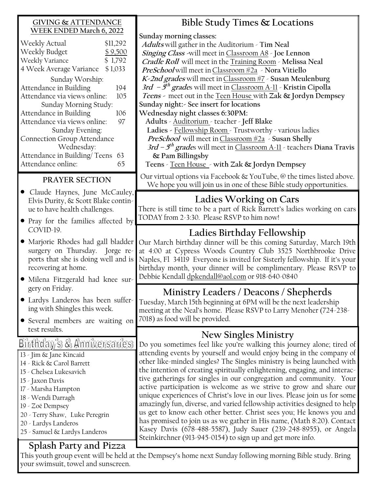| <b>GIVING &amp; ATTENDANCE</b>                                                                                                                                                                                                                                                                                                                                                                                                                                               | Bible Study Times & Locations                                                                                                                                                                                                                                                                                                                                                                                                                                                                                                                                                                                                                                                                                                                                                                                                                                                                                            |
|------------------------------------------------------------------------------------------------------------------------------------------------------------------------------------------------------------------------------------------------------------------------------------------------------------------------------------------------------------------------------------------------------------------------------------------------------------------------------|--------------------------------------------------------------------------------------------------------------------------------------------------------------------------------------------------------------------------------------------------------------------------------------------------------------------------------------------------------------------------------------------------------------------------------------------------------------------------------------------------------------------------------------------------------------------------------------------------------------------------------------------------------------------------------------------------------------------------------------------------------------------------------------------------------------------------------------------------------------------------------------------------------------------------|
| WEEK ENDED March 6, 2022<br>Weekly Actual<br>\$11,292<br>Weekly Budget<br>\$9,500<br>Weekly Variance<br>\$1,792<br>4 Week Average Variance \$1,033<br>Sunday Worship:<br>Attendance in Building<br>194<br>Attendance via views online:<br>105<br>Sunday Morning Study:<br>Attendance in Building<br>106<br>Attendance via views online:<br>97<br>Sunday Evening:<br>Connection Group Attendance<br>Wednesday:<br>Attendance in Building/Teens 63<br>Attendance online:<br>65 | Sunday morning classes:<br>Adults will gather in the Auditorium - Tim Neal<br>Singing Class -will meet in Classroom A8 - Joe Lennon<br>Cradle Roll will meet in the Training Room - Melissa Neal<br>PreSchool will meet in Classroom #2a > Nora Vitiello<br>K-2nd grades will meet in Classroom #7 - Susan Meulenburg<br>3rd $-5$ <sup>th</sup> grades will meet in Classroom A-11 - Kristin Cipolla<br>Teens - meet out in the Teen House with Zak & Jordyn Dempsey<br>Sunday night: - See insert for locations<br>Wednesday night classes 6:30PM:<br>Adults - Auditorium - teacher - Jeff Blake<br>Ladies - Fellowship Room - Trustworthy - various ladies<br><i>PreSchool</i> will meet in <i>Classroom</i> #2a > Susan Shelly<br>3rd – $5^{th}$ grades will meet in Classroom A-11 - teachers Diana Travis<br>& Pam Billingsby<br>Teens - Teen House - with Zak & Jordyn Dempsey                                     |
| PRAYER SECTION                                                                                                                                                                                                                                                                                                                                                                                                                                                               | Our virtual options via Facebook & YouTube, @ the times listed above.<br>We hope you will join us in one of these Bible study opportunities.                                                                                                                                                                                                                                                                                                                                                                                                                                                                                                                                                                                                                                                                                                                                                                             |
| • Claude Haynes, June McCauley,<br>Elvis Durity, & Scott Blake contin-<br>ue to have health challenges.<br>• Pray for the families affected by                                                                                                                                                                                                                                                                                                                               | Ladies Working on Cars<br>There is still time to be a part of Rick Barrett's ladies working on cars<br>TODAY from 2-3:30. Please RSVP to him now!                                                                                                                                                                                                                                                                                                                                                                                                                                                                                                                                                                                                                                                                                                                                                                        |
| COVID-19.<br>• Marjorie Rhodes had gall bladder<br>surgery on Thursday. Jorge re-<br>ports that she is doing well and is<br>recovering at home.<br>· Milena Fitzgerald had knee sur-<br>gery on Friday.<br>• Lardys Landeros has been suffer-<br>ing with Shingles this week.<br>• Several members are waiting on                                                                                                                                                            | Ladies Birthday Fellowship<br>Our March birthday dinner will be this coming Saturday, March 19th<br>at 4:00 at Cypress Woods Country Club 3525 Northbrooke Drive<br>Naples, Fl 34119 Everyone is invited for Sisterly fellowship. If it's your<br>birthday month, your dinner will be complimentary. Please RSVP to<br>Debbie Kendall dpkendall@aol.com or 918-640-0840                                                                                                                                                                                                                                                                                                                                                                                                                                                                                                                                                  |
|                                                                                                                                                                                                                                                                                                                                                                                                                                                                              | Ministry Leaders / Deacons / Shepherds<br>Tuesday, March 15th beginning at 6PM will be the next leadership<br>meeting at the Neal's home. Please RSVP to Larry Menoher (724-238-<br>7018) as food will be provided.                                                                                                                                                                                                                                                                                                                                                                                                                                                                                                                                                                                                                                                                                                      |
| test results.<br>Birthday's & Anniversancs<br>13 - Jim & Jane Kincaid<br>14 - Rick & Carol Barrett<br>15 - Chelsea Lukesavich<br>15 - Jaxon Davis<br>17 - Marsha Hampton<br>18 - Wendi Darragh<br>19 - Zoë Dempsey<br>20 - Terry Shaw, Luke Peregrin<br>20 - Lardys Landeros<br>25 - Samuel & Lardys Landeros<br>Splash Party and Pizza                                                                                                                                      | New Singles Ministry<br>Do you sometimes feel like you're walking this journey alone; tired of<br>attending events by yourself and would enjoy being in the company of<br>other like-minded singles? The Singles ministry is being launched with<br>the intention of creating spiritually enlightening, engaging, and interac-<br>tive gatherings for singles in our congregation and community. Your<br>active participation is welcome as we strive to grow and share our<br>unique experiences of Christ's love in our lives. Please join us for some<br>amazingly fun, diverse, and varied fellowship activities designed to help<br>us get to know each other better. Christ sees you; He knows you and<br>has promised to join us as we gather in His name, (Math 8:20). Contact<br>Kasey Davis (678-488-5587), Judy Sauer (239-248-8955), or Angela<br>Steinkirchner (913-945-0154) to sign up and get more info. |

This youth group event will be held at the Dempsey's home next Sunday following morning Bible study. Bring your swimsuit, towel and sunscreen.